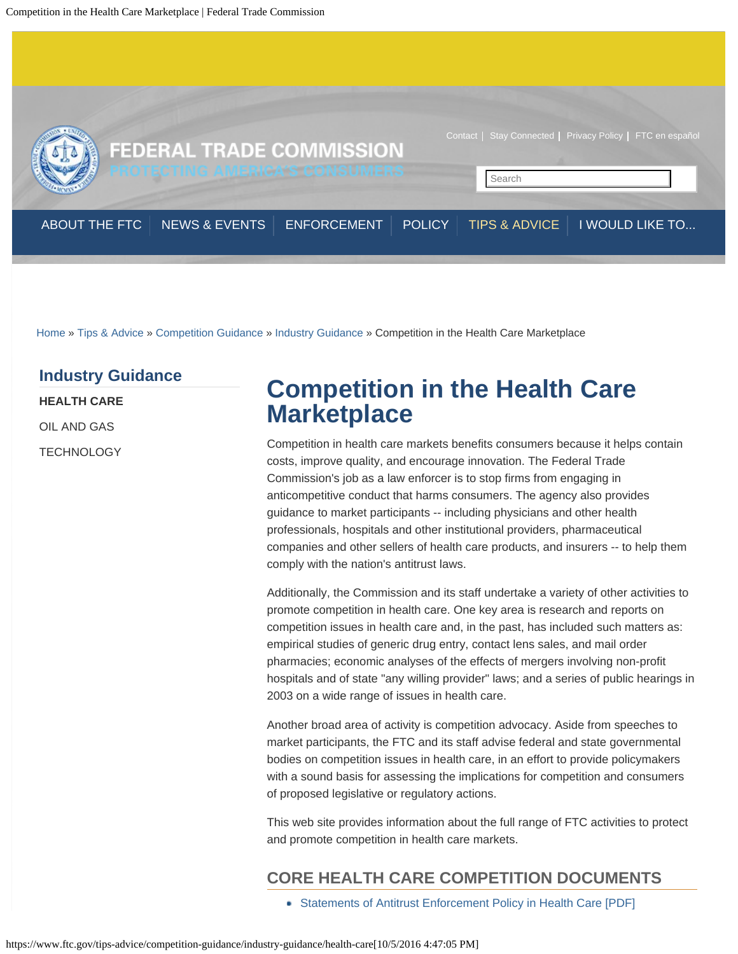<span id="page-0-0"></span>

[Home](https://www.ftc.gov/) » [Tips & Advice](https://www.ftc.gov/tips-advice) » [Competition Guidance](https://www.ftc.gov/tips-advice/competition-guidance) » [Industry Guidance](https://www.ftc.gov/tips-advice/competition-guidance/industry-guidance) » Competition in the Health Care Marketplace

### **[Industry Guidance](https://www.ftc.gov/tips-advice/competition-guidance/industry-guidance)**

**[HEALTH CARE](#page-0-0)**

[OIL AND GAS](https://www.ftc.gov/tips-advice/competition-guidance/industry-guidance/oil-and-gas)

**[TECHNOLOGY](https://www.ftc.gov/tips-advice/competition-guidance/industry-guidance/technology)** 

# **Competition in the Health Care Marketplace**

Competition in health care markets benefits consumers because it helps contain costs, improve quality, and encourage innovation. The Federal Trade Commission's job as a law enforcer is to stop firms from engaging in anticompetitive conduct that harms consumers. The agency also provides guidance to market participants -- including physicians and other health professionals, hospitals and other institutional providers, pharmaceutical companies and other sellers of health care products, and insurers -- to help them comply with the nation's antitrust laws.

Additionally, the Commission and its staff undertake a variety of other activities to promote competition in health care. One key area is research and reports on competition issues in health care and, in the past, has included such matters as: empirical studies of generic drug entry, contact lens sales, and mail order pharmacies; economic analyses of the effects of mergers involving non-profit hospitals and of state "any willing provider" laws; and a series of public hearings in 2003 on a wide range of issues in health care.

Another broad area of activity is competition advocacy. Aside from speeches to market participants, the FTC and its staff advise federal and state governmental bodies on competition issues in health care, in an effort to provide policymakers with a sound basis for assessing the implications for competition and consumers of proposed legislative or regulatory actions.

This web site provides information about the full range of FTC activities to protect and promote competition in health care markets.

## **CORE HEALTH CARE COMPETITION DOCUMENTS**

[Statements of Antitrust Enforcement Policy in Health Care \[PDF\]](https://www.ftc.gov/sites/default/files/attachments/competition-policy-guidance/statements_of_antitrust_enforcement_policy_in_health_care_august_1996.pdf)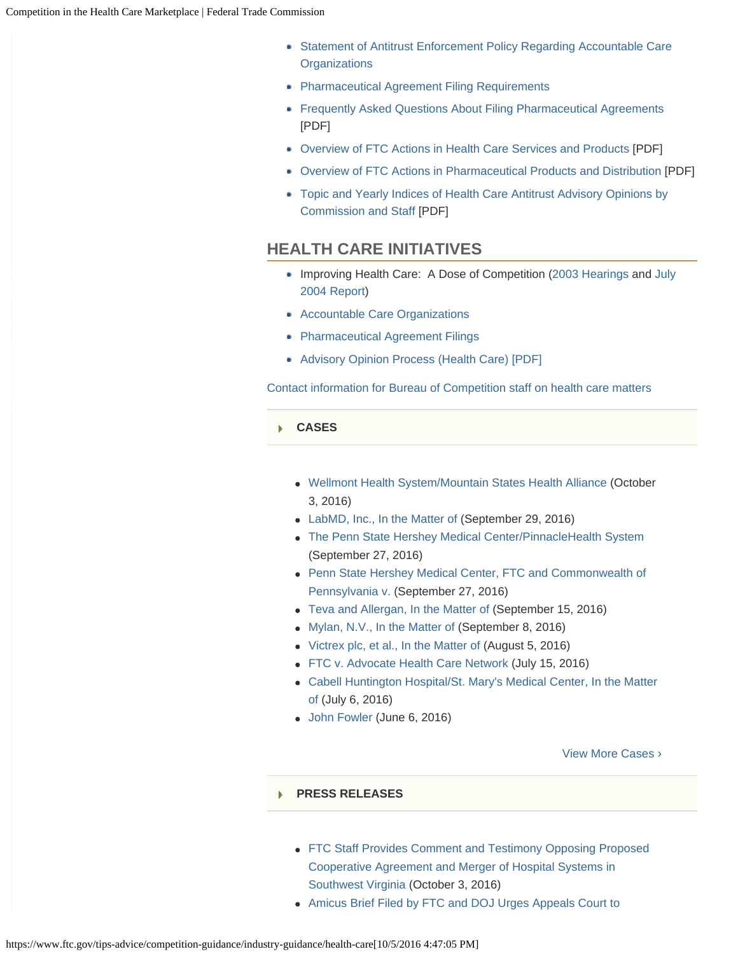- [Statement of Antitrust Enforcement Policy Regarding Accountable Care](https://www.ftc.gov/policy/federal-register-notices/ftc-doj-enforcement-policy-statement-regarding-accountable-care) **[Organizations](https://www.ftc.gov/policy/federal-register-notices/ftc-doj-enforcement-policy-statement-regarding-accountable-care)**
- **[Pharmaceutical Agreement Filing Requirements](https://www.ftc.gov/enforcement/premerger-notification-program/medicare-act-filings)**
- [Frequently Asked Questions About Filing Pharmaceutical Agreements](https://www.ftc.gov/system/files/attachments/competition-policy-guidance/050210pharmrulesfaqsection.pdf) [PDF]
- [Overview of FTC Actions in Health Care Services and Products](https://www.ftc.gov/system/files/attachments/competition-policy-guidance/hcupdaterev3.pdf) [PDF]
- [Overview of FTC Actions in Pharmaceutical Products and Distribution](https://www.ftc.gov/system/files/attachments/competition-policy-guidance/rxupdaterev3.pdf) [PDF]
- [Topic and Yearly Indices of Health Care Antitrust Advisory Opinions by](https://www.ftc.gov/system/files/attachments/competition-policy-guidance/indexadoprev3.pdf) [Commission and Staff](https://www.ftc.gov/system/files/attachments/competition-policy-guidance/indexadoprev3.pdf) [PDF]

### **HEALTH CARE INITIATIVES**

- Improving Health Care: A Dose of Competition [\(2003 Hearings](https://www.ftc.gov/news-events/events-calendar/2003/02/health-care-competition-law-policy-hearings) and [July](https://www.ftc.gov/reports/improving-health-care-dose-competition-report-federal-trade-commission-department-justice) [2004 Report](https://www.ftc.gov/reports/improving-health-care-dose-competition-report-federal-trade-commission-department-justice))
- [Accountable Care Organizations](https://www.ftc.gov/tips-advice/competition-guidance/industry-guidance/health-care/accountable-care-organizations)
- [Pharmaceutical Agreement Filings](https://www.ftc.gov/tips-advice/competition-guidance/industry-guidance/health-care/pharmaceutical-agreement-filings)
- [Advisory Opinion Process \(Health Care\) \[PDF\]](https://www.ftc.gov/sites/default/files/attachments/competition-advisory-opinions/advop-health.pdf)

[Contact information for Bureau of Competition staff on health care matters](https://www.ftc.gov/about-ftc/bureaus-offices/bureau-competition/contact-information)

#### **[CASES](#page-0-0)** ь

- [Wellmont Health System/Mountain States Health Alliance](https://www.ftc.gov/enforcement/cases-proceedings/151-0115/wellmont-healthmountain-states-health) (October 3, 2016)
- [LabMD, Inc., In the Matter of](https://www.ftc.gov/enforcement/cases-proceedings/102-3099/labmd-inc-matter) (September 29, 2016)
- [The Penn State Hershey Medical Center/PinnacleHealth System](https://www.ftc.gov/enforcement/cases-proceedings/141-0191/penn-state-hershey-medical-centerpinnaclehealth-system) (September 27, 2016)
- [Penn State Hershey Medical Center, FTC and Commonwealth of](https://www.ftc.gov/enforcement/cases-proceedings/141-0191-d09368/penn-state-hershey-medical-center-ftc-commonwealth) [Pennsylvania v.](https://www.ftc.gov/enforcement/cases-proceedings/141-0191-d09368/penn-state-hershey-medical-center-ftc-commonwealth) (September 27, 2016)
- [Teva and Allergan, In the Matter of](https://www.ftc.gov/enforcement/cases-proceedings/151-0196/teva-allergan-matter) (September 15, 2016)
- [Mylan, N.V., In the Matter of](https://www.ftc.gov/enforcement/cases-proceedings/161-0102/mylan-nv-matter) (September 8, 2016)
- [Victrex plc, et al., In the Matter of](https://www.ftc.gov/enforcement/cases-proceedings/141-0042/victrex-plc-et-al-matter) (August 5, 2016)
- [FTC v. Advocate Health Care Network](https://www.ftc.gov/enforcement/cases-proceedings/1410231/ftc-v-advocate-health-care-network) (July 15, 2016)
- [Cabell Huntington Hospital/St. Mary's Medical Center, In the Matter](https://www.ftc.gov/enforcement/cases-proceedings/141-0218/cabell-huntington-hospitalst-marys-medical-center-matter) [of \(](https://www.ftc.gov/enforcement/cases-proceedings/141-0218/cabell-huntington-hospitalst-marys-medical-center-matter)July 6, 2016)
- [John Fowler](https://www.ftc.gov/enforcement/cases-proceedings/152-3080/john-fowler) (June 6, 2016)

[View More Cases](https://www.ftc.gov/enforcement/cases-proceedings/terms/282) ›

#### **[PRESS RELEASES](#page-0-0)** Ы

- [FTC Staff Provides Comment and Testimony Opposing Proposed](https://www.ftc.gov/news-events/press-releases/2016/10/ftc-staff-provides-comment-testimony-opposing-proposed) [Cooperative Agreement and Merger of Hospital Systems in](https://www.ftc.gov/news-events/press-releases/2016/10/ftc-staff-provides-comment-testimony-opposing-proposed) [Southwest Virginia](https://www.ftc.gov/news-events/press-releases/2016/10/ftc-staff-provides-comment-testimony-opposing-proposed) (October 3, 2016)
- [Amicus Brief Filed by FTC and DOJ Urges Appeals Court to](https://www.ftc.gov/news-events/press-releases/2016/09/amicus-brief-filed-ftc-doj-urges-appeals-court-dismiss-appeal)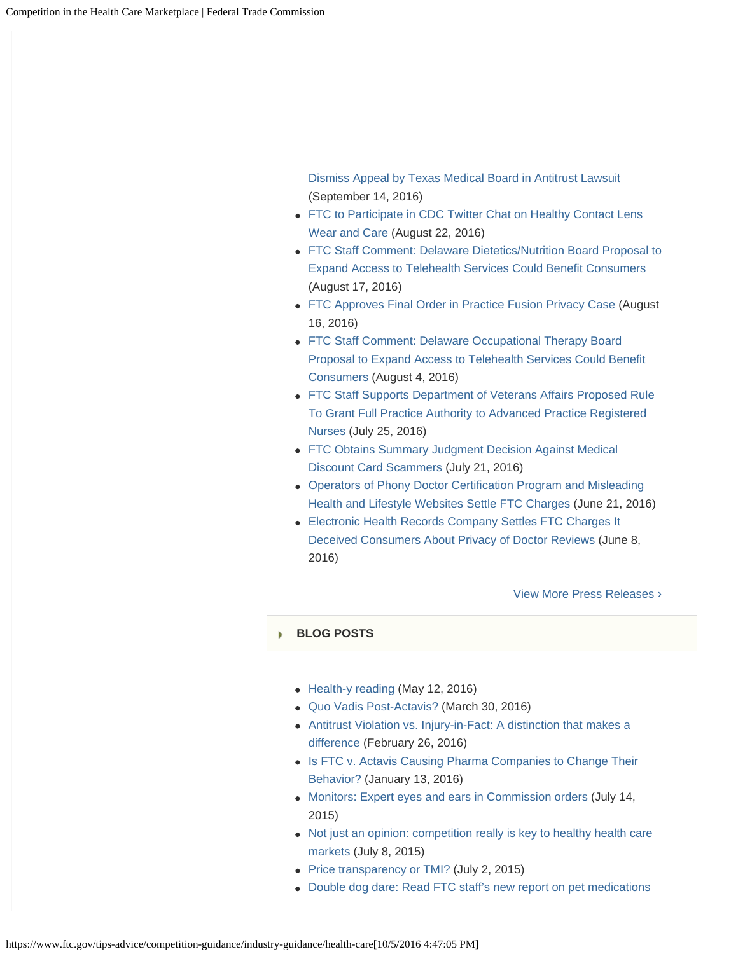[Dismiss Appeal by Texas Medical Board in Antitrust Lawsuit](https://www.ftc.gov/news-events/press-releases/2016/09/amicus-brief-filed-ftc-doj-urges-appeals-court-dismiss-appeal) (September 14, 2016)

- [FTC to Participate in CDC Twitter Chat on Healthy Contact Lens](https://www.ftc.gov/news-events/press-releases/2016/08/ftc-participate-cdc-twitter-chat-healthy-contact-lens-wear-care) [Wear and Care](https://www.ftc.gov/news-events/press-releases/2016/08/ftc-participate-cdc-twitter-chat-healthy-contact-lens-wear-care) (August 22, 2016)
- [FTC Staff Comment: Delaware Dietetics/Nutrition Board Proposal to](https://www.ftc.gov/news-events/press-releases/2016/08/ftc-staff-comment-delaware-dieteticsnutrition-board-proposal) [Expand Access to Telehealth Services Could Benefit Consumers](https://www.ftc.gov/news-events/press-releases/2016/08/ftc-staff-comment-delaware-dieteticsnutrition-board-proposal) (August 17, 2016)
- [FTC Approves Final Order in Practice Fusion Privacy Case](https://www.ftc.gov/news-events/press-releases/2016/08/ftc-approves-final-order-practice-fusion-privacy-case) (August 16, 2016)
- [FTC Staff Comment: Delaware Occupational Therapy Board](https://www.ftc.gov/news-events/press-releases/2016/08/ftc-staff-comment-delaware-occupational-therapy-board-proposal) [Proposal to Expand Access to Telehealth Services Could Benefit](https://www.ftc.gov/news-events/press-releases/2016/08/ftc-staff-comment-delaware-occupational-therapy-board-proposal) [Consumers](https://www.ftc.gov/news-events/press-releases/2016/08/ftc-staff-comment-delaware-occupational-therapy-board-proposal) (August 4, 2016)
- [FTC Staff Supports Department of Veterans Affairs Proposed Rule](https://www.ftc.gov/news-events/press-releases/2016/07/ftc-staff-supports-department-veterans-affairs-proposed-rule) [To Grant Full Practice Authority to Advanced Practice Registered](https://www.ftc.gov/news-events/press-releases/2016/07/ftc-staff-supports-department-veterans-affairs-proposed-rule) [Nurses](https://www.ftc.gov/news-events/press-releases/2016/07/ftc-staff-supports-department-veterans-affairs-proposed-rule) (July 25, 2016)
- [FTC Obtains Summary Judgment Decision Against Medical](https://www.ftc.gov/news-events/press-releases/2016/07/ftc-obtains-summary-judgment-decision-against-medical-discount) [Discount Card Scammers](https://www.ftc.gov/news-events/press-releases/2016/07/ftc-obtains-summary-judgment-decision-against-medical-discount) (July 21, 2016)
- [Operators of Phony Doctor Certification Program and Misleading](https://www.ftc.gov/news-events/press-releases/2016/06/operators-phony-doctor-certification-program-misleading-health) [Health and Lifestyle Websites Settle FTC Charges](https://www.ftc.gov/news-events/press-releases/2016/06/operators-phony-doctor-certification-program-misleading-health) (June 21, 2016)
- [Electronic Health Records Company Settles FTC Charges It](https://www.ftc.gov/news-events/press-releases/2016/06/electronic-health-records-company-settles-ftc-charges-it-deceived) [Deceived Consumers About Privacy of Doctor Reviews](https://www.ftc.gov/news-events/press-releases/2016/06/electronic-health-records-company-settles-ftc-charges-it-deceived) (June 8, 2016)

[View More Press Releases](https://www.ftc.gov/news-events/press-releases/terms/282) ›

#### **[BLOG POSTS](#page-0-0)** Ы

- [Health-y reading](https://www.ftc.gov/news-events/blogs/competition-matters/2016/05/health-y-reading) (May 12, 2016)
- [Quo Vadis Post-Actavis?](https://www.ftc.gov/news-events/blogs/competition-matters/2016/03/quo-vadis-post-actavis) (March 30, 2016)
- [Antitrust Violation vs. Injury-in-Fact: A distinction that makes a](https://www.ftc.gov/news-events/blogs/competition-matters/2016/02/antitrust-violation-vs-injury-fact-distinction-makes) [difference](https://www.ftc.gov/news-events/blogs/competition-matters/2016/02/antitrust-violation-vs-injury-fact-distinction-makes) (February 26, 2016)
- [Is FTC v. Actavis Causing Pharma Companies to Change Their](https://www.ftc.gov/news-events/blogs/competition-matters/2016/01/ftc-v-actavis-causing-pharma-companies-change-their) [Behavior?](https://www.ftc.gov/news-events/blogs/competition-matters/2016/01/ftc-v-actavis-causing-pharma-companies-change-their) (January 13, 2016)
- [Monitors: Expert eyes and ears in Commission orders](https://www.ftc.gov/news-events/blogs/competition-matters/2015/07/monitors-expert-eyes-ears-commission-orders) (July 14, 2015)
- [Not just an opinion: competition really is key to healthy health care](https://www.ftc.gov/news-events/blogs/competition-matters/2015/07/not-just-opinion-competition-really-key-healthy-health) [markets](https://www.ftc.gov/news-events/blogs/competition-matters/2015/07/not-just-opinion-competition-really-key-healthy-health) (July 8, 2015)
- [Price transparency or TMI?](https://www.ftc.gov/news-events/blogs/competition-matters/2015/07/price-transparency-or-tmi) (July 2, 2015)
- [Double dog dare: Read FTC staff's new report on pet medications](https://www.ftc.gov/news-events/blogs/competition-matters/2015/05/double-dog-dare-read-ftc-staffs-new-report-pet)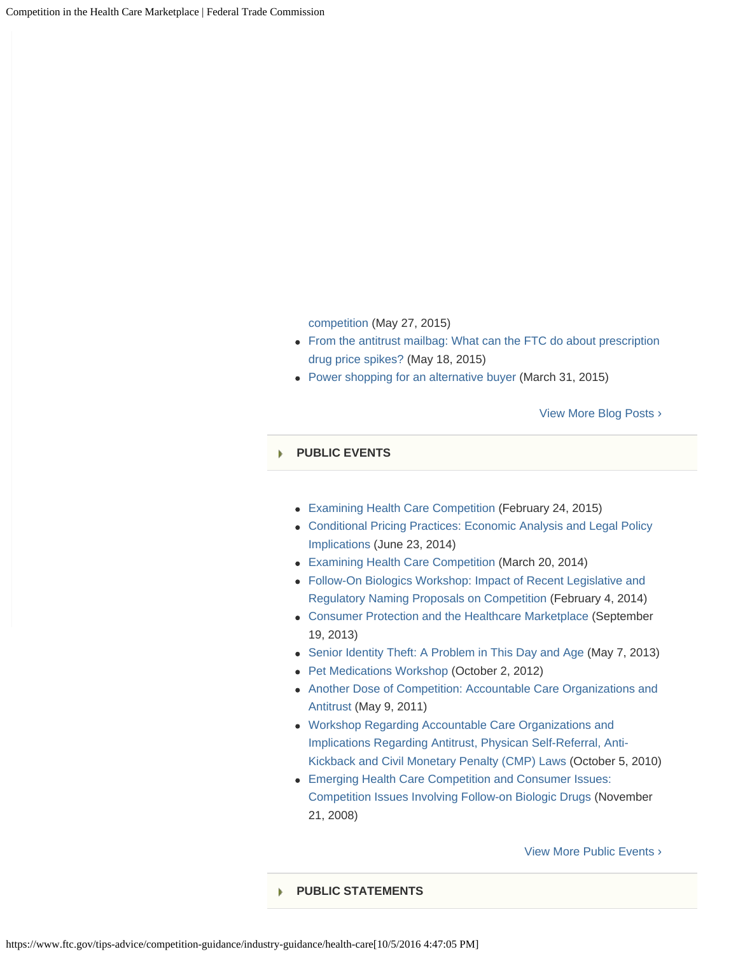[competition \(](https://www.ftc.gov/news-events/blogs/competition-matters/2015/05/double-dog-dare-read-ftc-staffs-new-report-pet)May 27, 2015)

- [From the antitrust mailbag: What can the FTC do about prescription](https://www.ftc.gov/news-events/blogs/competition-matters/2015/05/antitrust-mailbag-what-can-ftc-do-about-prescription) [drug price spikes?](https://www.ftc.gov/news-events/blogs/competition-matters/2015/05/antitrust-mailbag-what-can-ftc-do-about-prescription) (May 18, 2015)
- [Power shopping for an alternative buyer](https://www.ftc.gov/news-events/blogs/competition-matters/2015/03/power-shopping-alternative-buyer) (March 31, 2015)

[View More Blog Posts](https://www.ftc.gov/news-events/blogs/terms/282) ›

#### **[PUBLIC EVENTS](#page-0-0)**

- [Examining Health Care Competition](https://www.ftc.gov/news-events/events-calendar/2015/02/examining-health-care-competition) (February 24, 2015)
- [Conditional Pricing Practices: Economic Analysis and Legal Policy](https://www.ftc.gov/news-events/events-calendar/2014/06/conditional-pricing-practices-economic-analysis-legal-policy) [Implications](https://www.ftc.gov/news-events/events-calendar/2014/06/conditional-pricing-practices-economic-analysis-legal-policy) (June 23, 2014)
- [Examining Health Care Competition](https://www.ftc.gov/news-events/events-calendar/2014/03/examining-health-care-competition) (March 20, 2014)
- [Follow-On Biologics Workshop: Impact of Recent Legislative and](https://www.ftc.gov/news-events/events-calendar/2014/02/follow-biologics-workshop-impact-recent-legislative-regulatory) [Regulatory Naming Proposals on Competition](https://www.ftc.gov/news-events/events-calendar/2014/02/follow-biologics-workshop-impact-recent-legislative-regulatory) (February 4, 2014)
- [Consumer Protection and the Healthcare Marketplace](https://www.ftc.gov/news-events/events-calendar/2013/09/consumer-protection-healthcare-marketplace) (September 19, 2013)
- [Senior Identity Theft: A Problem in This Day and Age](https://www.ftc.gov/news-events/events-calendar/2013/05/senior-identity-theft-problem-day-age) (May 7, 2013)
- [Pet Medications Workshop \(](https://www.ftc.gov/news-events/events-calendar/2012/10/pet-medications-workshop)October 2, 2012)
- [Another Dose of Competition: Accountable Care Organizations and](https://www.ftc.gov/news-events/events-calendar/2011/05/another-dose-competition-accountable-care-organizations) [Antitrust](https://www.ftc.gov/news-events/events-calendar/2011/05/another-dose-competition-accountable-care-organizations) (May 9, 2011)
- [Workshop Regarding Accountable Care Organizations and](https://www.ftc.gov/news-events/events-calendar/2010/10/workshop-regarding-accountable-care-organizations-implications) [Implications Regarding Antitrust, Physican Self-Referral, Anti-](https://www.ftc.gov/news-events/events-calendar/2010/10/workshop-regarding-accountable-care-organizations-implications)[Kickback and Civil Monetary Penalty \(CMP\) Laws](https://www.ftc.gov/news-events/events-calendar/2010/10/workshop-regarding-accountable-care-organizations-implications) (October 5, 2010)
- [Emerging Health Care Competition and Consumer Issues:](https://www.ftc.gov/news-events/events-calendar/2008/11/emerging-health-care-competition-consumer-issues-competition) [Competition Issues Involving Follow-on Biologic Drugs](https://www.ftc.gov/news-events/events-calendar/2008/11/emerging-health-care-competition-consumer-issues-competition) (November 21, 2008)

[View More Public Events](https://www.ftc.gov/news-events/events-calendar/terms/282) ›

### **[PUBLIC STATEMENTS](#page-0-0)**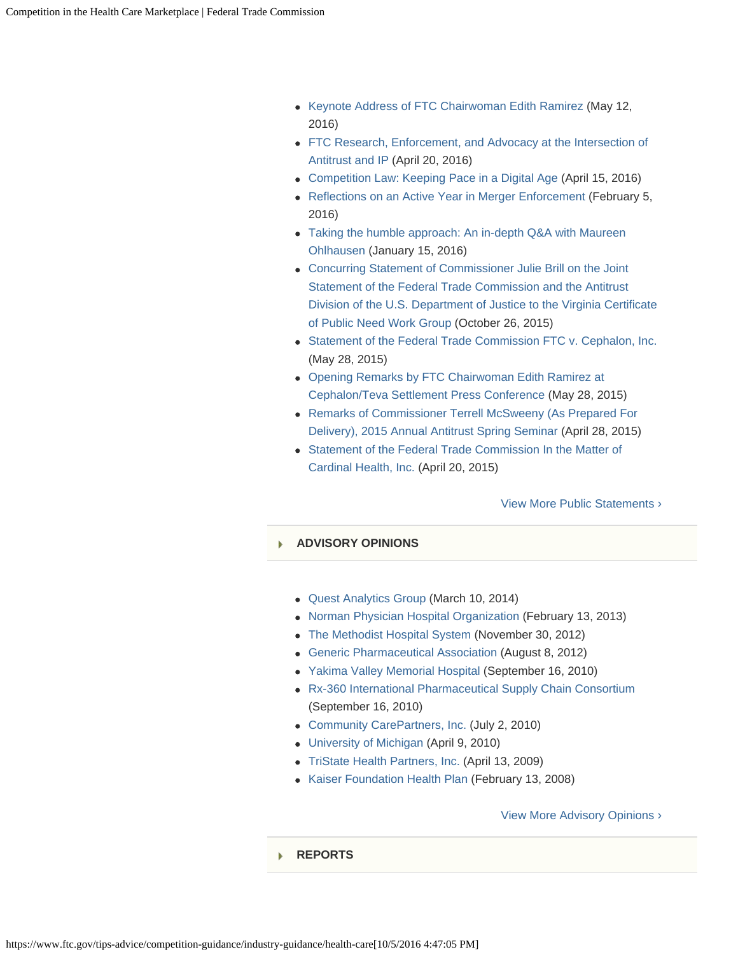- [Keynote Address of FTC Chairwoman Edith Ramirez](https://www.ftc.gov/public-statements/2016/05/keynote-address-ftc-chairwoman-edith-ramirez) (May 12, 2016)
- [FTC Research, Enforcement, and Advocacy at the Intersection of](https://www.ftc.gov/public-statements/2016/04/ftc-research-enforcement-advocacy-intersection-antitrust-ip) [Antitrust and IP](https://www.ftc.gov/public-statements/2016/04/ftc-research-enforcement-advocacy-intersection-antitrust-ip) (April 20, 2016)
- [Competition Law: Keeping Pace in a Digital Age](https://www.ftc.gov/public-statements/2016/04/competition-law-keeping-pace-digital-age) (April 15, 2016)
- [Reflections on an Active Year in Merger Enforcement](https://www.ftc.gov/public-statements/2016/02/reflections-active-year-merger-enforcement) (February 5, 2016)
- [Taking the humble approach: An in-depth Q&A with Maureen](https://www.ftc.gov/public-statements/2016/01/taking-humble-approach-depth-qa-maureen-ohlhausen) [Ohlhausen](https://www.ftc.gov/public-statements/2016/01/taking-humble-approach-depth-qa-maureen-ohlhausen) (January 15, 2016)
- [Concurring Statement of Commissioner Julie Brill on the Joint](https://www.ftc.gov/public-statements/2015/10/concurring-statement-commissioner-julie-brill-joint-statement-federal) [Statement of the Federal Trade Commission and the Antitrust](https://www.ftc.gov/public-statements/2015/10/concurring-statement-commissioner-julie-brill-joint-statement-federal) [Division of the U.S. Department of Justice to the Virginia Certificate](https://www.ftc.gov/public-statements/2015/10/concurring-statement-commissioner-julie-brill-joint-statement-federal) [of Public Need Work Group](https://www.ftc.gov/public-statements/2015/10/concurring-statement-commissioner-julie-brill-joint-statement-federal) (October 26, 2015)
- [Statement of the Federal Trade Commission FTC v. Cephalon, Inc.](https://www.ftc.gov/public-statements/2015/05/statement-federal-trade-commission-ftc-v-cephalon-inc) (May 28, 2015)
- [Opening Remarks by FTC Chairwoman Edith Ramirez at](https://www.ftc.gov/public-statements/2015/05/opening-remarks-ftc-chairwoman-edith-ramirez-cephalonteva-settlement-press) [Cephalon/Teva Settlement Press Conference](https://www.ftc.gov/public-statements/2015/05/opening-remarks-ftc-chairwoman-edith-ramirez-cephalonteva-settlement-press) (May 28, 2015)
- [Remarks of Commissioner Terrell McSweeny \(As Prepared For](https://www.ftc.gov/public-statements/2015/04/remarks-commissioner-terrell-mcsweeny-prepared-delivery-2015-annual) [Delivery\), 2015 Annual Antitrust Spring Seminar](https://www.ftc.gov/public-statements/2015/04/remarks-commissioner-terrell-mcsweeny-prepared-delivery-2015-annual) (April 28, 2015)
- [Statement of the Federal Trade Commission In the Matter of](https://www.ftc.gov/public-statements/2015/04/statement-federal-trade-commission-matter-cardinal-health-inc) [Cardinal Health, Inc.](https://www.ftc.gov/public-statements/2015/04/statement-federal-trade-commission-matter-cardinal-health-inc) (April 20, 2015)

### [View More Public Statements](https://www.ftc.gov/public-statements/terms/282) ›

### **[ADVISORY OPINIONS](#page-0-0)**

- [Quest Analytics Group](https://www.ftc.gov/policy/advisory-opinions/quest-analytics-group) (March 10, 2014)
- [Norman Physician Hospital Organization](https://www.ftc.gov/policy/advisory-opinions/norman-physician-hospital-organization) (February 13, 2013)
- [The Methodist Hospital System](https://www.ftc.gov/policy/advisory-opinions/methodist-hospital-system) (November 30, 2012)
- [Generic Pharmaceutical Association](https://www.ftc.gov/policy/advisory-opinions/generic-pharmaceutical-association) (August 8, 2012)
- [Yakima Valley Memorial Hospital](https://www.ftc.gov/policy/advisory-opinions/yakima-valley-memorial-hospital) (September 16, 2010)
- [Rx-360 International Pharmaceutical Supply Chain Consortium](https://www.ftc.gov/policy/advisory-opinions/rx-360-international-pharmaceutical-supply-chain-consortium) (September 16, 2010)
- [Community CarePartners, Inc.](https://www.ftc.gov/policy/advisory-opinions/community-carepartners-inc) (July 2, 2010)
- [University of Michigan](https://www.ftc.gov/policy/advisory-opinions/university-michigan) (April 9, 2010)
- [TriState Health Partners, Inc.](https://www.ftc.gov/policy/advisory-opinions/tristate-health-partners-inc) (April 13, 2009)
- [Kaiser Foundation Health Plan](https://www.ftc.gov/policy/advisory-opinions/kaiser-foundation-health-plan) (February 13, 2008)

#### [View More Advisory Opinions](https://www.ftc.gov/policy/advisory-opinions?term_node_tid_depth=3517) ›

#### **[REPORTS](#page-0-0)**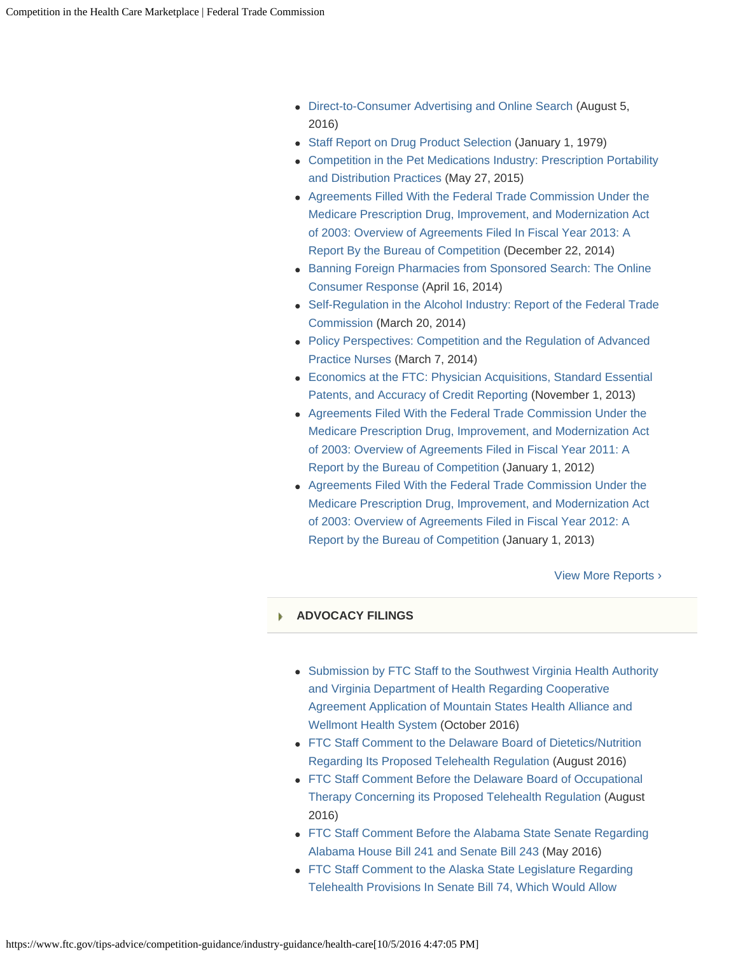- [Direct-to-Consumer Advertising and Online Search](https://www.ftc.gov/reports/direct-consumer-advertising-online-search) (August 5, 2016)
- [Staff Report on Drug Product Selection](https://www.ftc.gov/reports/staff-report-drug-product-selection) (January 1, 1979)
- [Competition in the Pet Medications Industry: Prescription Portability](https://www.ftc.gov/reports/competition-pet-medications-industry-prescription-portability-distribution-practices) [and Distribution Practices](https://www.ftc.gov/reports/competition-pet-medications-industry-prescription-portability-distribution-practices) (May 27, 2015)
- [Agreements Filled With the Federal Trade Commission Under the](https://www.ftc.gov/reports/agreements-filled-federal-trade-commission-under-medicare-prescription-drug-improvement) [Medicare Prescription Drug, Improvement, and Modernization Act](https://www.ftc.gov/reports/agreements-filled-federal-trade-commission-under-medicare-prescription-drug-improvement) [of 2003: Overview of Agreements Filed In Fiscal Year 2013: A](https://www.ftc.gov/reports/agreements-filled-federal-trade-commission-under-medicare-prescription-drug-improvement) [Report By the Bureau of Competition](https://www.ftc.gov/reports/agreements-filled-federal-trade-commission-under-medicare-prescription-drug-improvement) (December 22, 2014)
- **[Banning Foreign Pharmacies from Sponsored Search: The Online](https://www.ftc.gov/reports/banning-foreign-pharmacies-sponsored-search-online-consumer-response)** [Consumer Response](https://www.ftc.gov/reports/banning-foreign-pharmacies-sponsored-search-online-consumer-response) (April 16, 2014)
- [Self-Regulation in the Alcohol Industry: Report of the Federal Trade](https://www.ftc.gov/reports/self-regulation-alcohol-industry-report-federal-trade-commission-0) [Commission](https://www.ftc.gov/reports/self-regulation-alcohol-industry-report-federal-trade-commission-0) (March 20, 2014)
- [Policy Perspectives: Competition and the Regulation of Advanced](https://www.ftc.gov/reports/policy-perspectives-competition-regulation-advanced-practice-nurses) [Practice Nurses](https://www.ftc.gov/reports/policy-perspectives-competition-regulation-advanced-practice-nurses) (March 7, 2014)
- [Economics at the FTC: Physician Acquisitions, Standard Essential](https://www.ftc.gov/reports/economics-ftc-physician-acquisitions-standard-essential-patents-accuracy-credit-reporting) [Patents, and Accuracy of Credit Reporting](https://www.ftc.gov/reports/economics-ftc-physician-acquisitions-standard-essential-patents-accuracy-credit-reporting) (November 1, 2013)
- [Agreements Filed With the Federal Trade Commission Under the](https://www.ftc.gov/reports/agreements-filed-federal-trade-commission-under-medicare-prescription-drug-improvement-8) [Medicare Prescription Drug, Improvement, and Modernization Act](https://www.ftc.gov/reports/agreements-filed-federal-trade-commission-under-medicare-prescription-drug-improvement-8) [of 2003: Overview of Agreements Filed in Fiscal Year 2011: A](https://www.ftc.gov/reports/agreements-filed-federal-trade-commission-under-medicare-prescription-drug-improvement-8) [Report by the Bureau of Competition](https://www.ftc.gov/reports/agreements-filed-federal-trade-commission-under-medicare-prescription-drug-improvement-8) (January 1, 2012)
- [Agreements Filed With the Federal Trade Commission Under the](https://www.ftc.gov/reports/agreements-filed-federal-trade-commission-under-medicare-prescription-drug-improvement) [Medicare Prescription Drug, Improvement, and Modernization Act](https://www.ftc.gov/reports/agreements-filed-federal-trade-commission-under-medicare-prescription-drug-improvement) [of 2003: Overview of Agreements Filed in Fiscal Year 2012: A](https://www.ftc.gov/reports/agreements-filed-federal-trade-commission-under-medicare-prescription-drug-improvement) [Report by the Bureau of Competition \(](https://www.ftc.gov/reports/agreements-filed-federal-trade-commission-under-medicare-prescription-drug-improvement)January 1, 2013)

[View More Reports ›](https://www.ftc.gov/policy/reports/terms/282)

### **[ADVOCACY FILINGS](#page-0-0)**

- [Submission by FTC Staff to the Southwest Virginia Health Authority](https://www.ftc.gov/policy/policy-actions/advocacy-filings/2016/10/submission-ftc-staff-southwest-virginia-health) [and Virginia Department of Health Regarding Cooperative](https://www.ftc.gov/policy/policy-actions/advocacy-filings/2016/10/submission-ftc-staff-southwest-virginia-health) [Agreement Application of Mountain States Health Alliance and](https://www.ftc.gov/policy/policy-actions/advocacy-filings/2016/10/submission-ftc-staff-southwest-virginia-health) [Wellmont Health System](https://www.ftc.gov/policy/policy-actions/advocacy-filings/2016/10/submission-ftc-staff-southwest-virginia-health) (October 2016)
- [FTC Staff Comment to the Delaware Board of Dietetics/Nutrition](https://www.ftc.gov/policy/policy-actions/advocacy-filings/2016/08/ftc-staff-comment-delaware-board-dieteticsnutrition) [Regarding Its Proposed Telehealth Regulation \(](https://www.ftc.gov/policy/policy-actions/advocacy-filings/2016/08/ftc-staff-comment-delaware-board-dieteticsnutrition)August 2016)
- [FTC Staff Comment Before the Delaware Board of Occupational](https://www.ftc.gov/policy/policy-actions/advocacy-filings/2016/08/ftc-staff-comment-delaware-board-occupational-therapy) [Therapy Concerning its Proposed Telehealth Regulation](https://www.ftc.gov/policy/policy-actions/advocacy-filings/2016/08/ftc-staff-comment-delaware-board-occupational-therapy) (August 2016)
- [FTC Staff Comment Before the Alabama State Senate Regarding](https://www.ftc.gov/policy/policy-actions/advocacy-filings/2016/05/ftc-staff-comment-alabama-state-senate-regarding) [Alabama House Bill 241 and Senate Bill 243](https://www.ftc.gov/policy/policy-actions/advocacy-filings/2016/05/ftc-staff-comment-alabama-state-senate-regarding) (May 2016)
- [FTC Staff Comment to the Alaska State Legislature Regarding](https://www.ftc.gov/policy/policy-actions/advocacy-filings/2016/03/ftc-staff-comment-alaska-state-legislature-regarding) [Telehealth Provisions In Senate Bill 74, Which Would Allow](https://www.ftc.gov/policy/policy-actions/advocacy-filings/2016/03/ftc-staff-comment-alaska-state-legislature-regarding)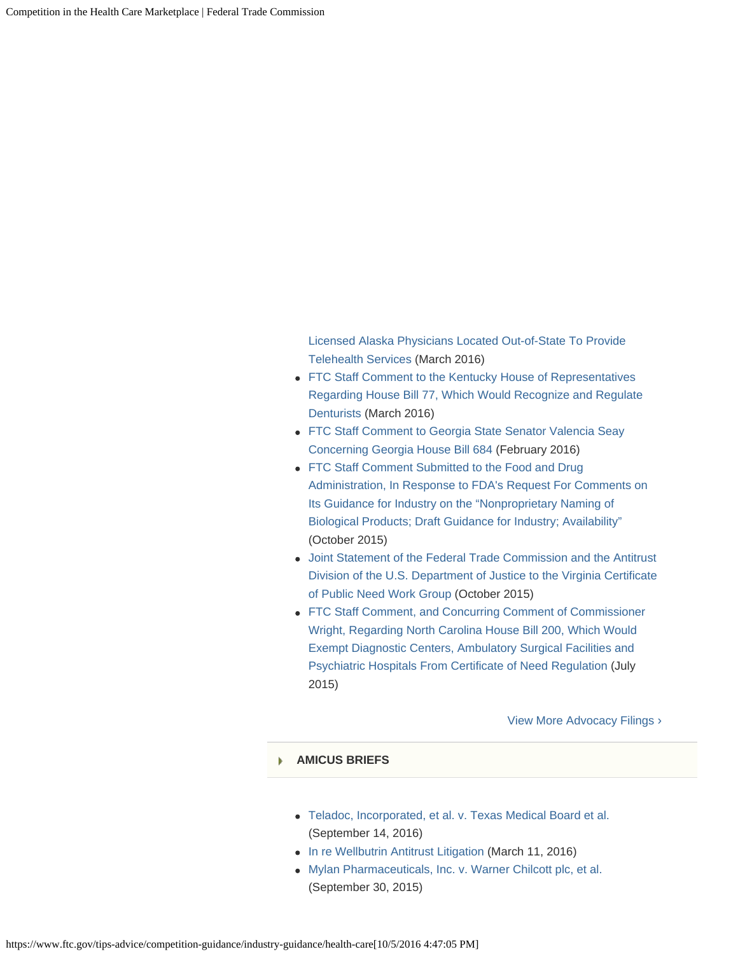[Licensed Alaska Physicians Located Out-of-State To Provide](https://www.ftc.gov/policy/policy-actions/advocacy-filings/2016/03/ftc-staff-comment-alaska-state-legislature-regarding) [Telehealth Services](https://www.ftc.gov/policy/policy-actions/advocacy-filings/2016/03/ftc-staff-comment-alaska-state-legislature-regarding) (March 2016)

- [FTC Staff Comment to the Kentucky House of Representatives](https://www.ftc.gov/policy/policy-actions/advocacy-filings/2016/03/ftc-staff-comment-kentucky-house-representatives) [Regarding House Bill 77, Which Would Recognize and Regulate](https://www.ftc.gov/policy/policy-actions/advocacy-filings/2016/03/ftc-staff-comment-kentucky-house-representatives) [Denturists](https://www.ftc.gov/policy/policy-actions/advocacy-filings/2016/03/ftc-staff-comment-kentucky-house-representatives) (March 2016)
- [FTC Staff Comment to Georgia State Senator Valencia Seay](https://www.ftc.gov/policy/policy-actions/advocacy-filings/2016/02/ftc-staff-comment-georgia-state-senator-valencia-seay) [Concerning Georgia House Bill 684](https://www.ftc.gov/policy/policy-actions/advocacy-filings/2016/02/ftc-staff-comment-georgia-state-senator-valencia-seay) (February 2016)
- [FTC Staff Comment Submitted to the Food and Drug](https://www.ftc.gov/policy/policy-actions/advocacy-filings/2015/10/ftc-staff-comment-submitted-food-drug-administration) [Administration, In Response to FDA's Request For Comments on](https://www.ftc.gov/policy/policy-actions/advocacy-filings/2015/10/ftc-staff-comment-submitted-food-drug-administration) [Its Guidance for Industry on the "Nonproprietary Naming of](https://www.ftc.gov/policy/policy-actions/advocacy-filings/2015/10/ftc-staff-comment-submitted-food-drug-administration) [Biological Products; Draft Guidance for Industry; Availability"](https://www.ftc.gov/policy/policy-actions/advocacy-filings/2015/10/ftc-staff-comment-submitted-food-drug-administration) (October 2015)
- [Joint Statement of the Federal Trade Commission and the Antitrust](https://www.ftc.gov/policy/policy-actions/advocacy-filings/2015/10/joint-statement-federal-trade-commission-antitrust) [Division of the U.S. Department of Justice to the Virginia Certificate](https://www.ftc.gov/policy/policy-actions/advocacy-filings/2015/10/joint-statement-federal-trade-commission-antitrust) [of Public Need Work Group](https://www.ftc.gov/policy/policy-actions/advocacy-filings/2015/10/joint-statement-federal-trade-commission-antitrust) (October 2015)
- [FTC Staff Comment, and Concurring Comment of Commissioner](https://www.ftc.gov/policy/policy-actions/advocacy-filings/2015/07/ftc-staff-comment-concurring-comment-commissioner) [Wright, Regarding North Carolina House Bill 200, Which Would](https://www.ftc.gov/policy/policy-actions/advocacy-filings/2015/07/ftc-staff-comment-concurring-comment-commissioner) [Exempt Diagnostic Centers, Ambulatory Surgical Facilities and](https://www.ftc.gov/policy/policy-actions/advocacy-filings/2015/07/ftc-staff-comment-concurring-comment-commissioner) [Psychiatric Hospitals From Certificate of Need Regulation](https://www.ftc.gov/policy/policy-actions/advocacy-filings/2015/07/ftc-staff-comment-concurring-comment-commissioner) (July 2015)

[View More Advocacy Filings ›](https://www.ftc.gov/policy/advocacy/advocacy-filings/terms/282)

#### **[AMICUS BRIEFS](#page-0-0)** ь

- [Teladoc, Incorporated, et al. v. Texas Medical Board et al.](https://www.ftc.gov/policy/advocacy/amicus-briefs/2016/09/teladoc-incorporated-et-al-v-texas-medical-board-et-al) (September 14, 2016)
- [In re Wellbutrin Antitrust Litigation](https://www.ftc.gov/policy/advocacy/amicus-briefs/2016/03/re-wellbutrin-antitrust-litigation) (March 11, 2016)
- [Mylan Pharmaceuticals, Inc. v. Warner Chilcott plc, et al.](https://www.ftc.gov/policy/advocacy/amicus-briefs/2015/09/mylan-pharmaceuticals-inc-v-warner-chilcott-plc-et-al) (September 30, 2015)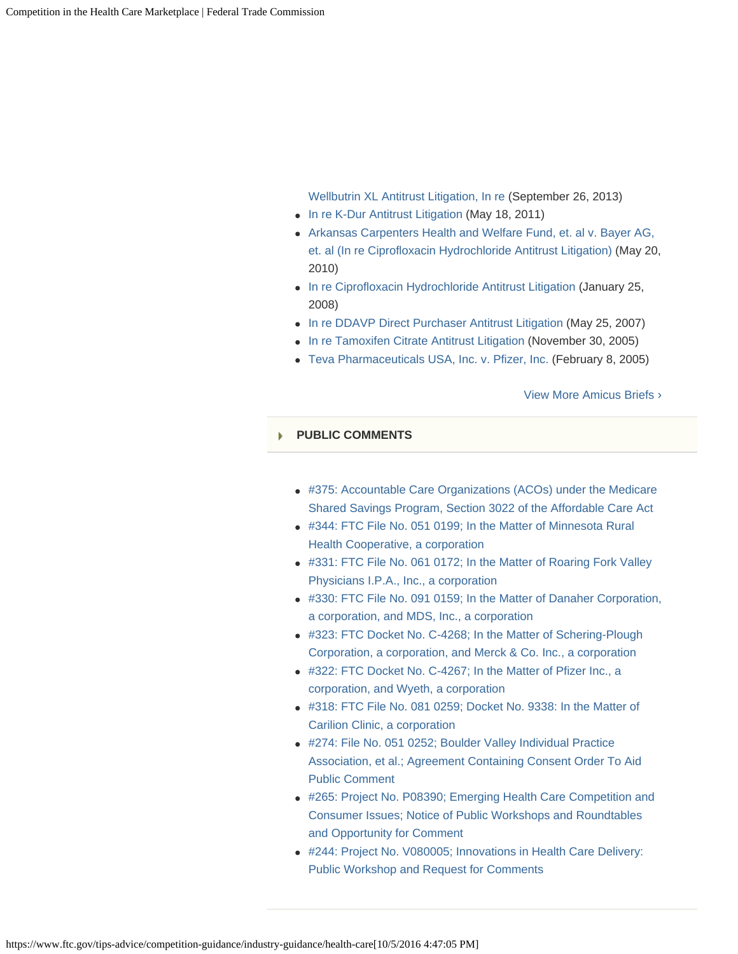[Wellbutrin XL Antitrust Litigation, In re](https://www.ftc.gov/policy/advocacy/amicus-briefs/2013/09/wellbutrin-xl-antitrust-litigation-re) (September 26, 2013)

- [In re K-Dur Antitrust Litigation](https://www.ftc.gov/policy/advocacy/amicus-briefs/2011/05/re-k-dur-antitrust-litigation) (May 18, 2011)
- [Arkansas Carpenters Health and Welfare Fund, et. al v. Bayer AG,](https://www.ftc.gov/policy/advocacy/amicus-briefs/2010/05/arkansas-carpenters-health-welfare-fund-et-al-v-bayer-ag-et-al) [et. al \(In re Ciprofloxacin Hydrochloride Antitrust Litigation\)](https://www.ftc.gov/policy/advocacy/amicus-briefs/2010/05/arkansas-carpenters-health-welfare-fund-et-al-v-bayer-ag-et-al) (May 20, 2010)
- [In re Ciprofloxacin Hydrochloride Antitrust Litigation](https://www.ftc.gov/policy/advocacy/amicus-briefs/2008/01/re-ciprofloxacin-hydrochloride-antitrust-litigation) (January 25, 2008)
- [In re DDAVP Direct Purchaser Antitrust Litigation](https://www.ftc.gov/policy/advocacy/amicus-briefs/2007/05/re-ddavp-direct-purchaser-antitrust-litigation) (May 25, 2007)
- [In re Tamoxifen Citrate Antitrust Litigation](https://www.ftc.gov/policy/advocacy/amicus-briefs/2005/11/re-tamoxifen-citrate-antitrust-litigation) (November 30, 2005)
- [Teva Pharmaceuticals USA, Inc. v. Pfizer, Inc.](https://www.ftc.gov/policy/advocacy/amicus-briefs/2005/02/teva-pharmaceuticals-usa-inc-v-pfizer-inc) (February 8, 2005)

[View More Amicus Briefs ›](https://www.ftc.gov/policy/advocacy/amicus-briefs/terms/282)

#### **[PUBLIC COMMENTS](#page-0-0)**

- [#375: Accountable Care Organizations \(ACOs\) under the Medicare](https://www.ftc.gov/policy/public-comments/initiative-375) [Shared Savings Program, Section 3022 of the Affordable Care Act](https://www.ftc.gov/policy/public-comments/initiative-375)
- [#344: FTC File No. 051 0199; In the Matter of Minnesota Rural](https://www.ftc.gov/policy/public-comments/initiative-344) [Health Cooperative, a corporation](https://www.ftc.gov/policy/public-comments/initiative-344)
- [#331: FTC File No. 061 0172; In the Matter of Roaring Fork Valley](https://www.ftc.gov/policy/public-comments/initiative-331) [Physicians I.P.A., Inc., a corporation](https://www.ftc.gov/policy/public-comments/initiative-331)
- [#330: FTC File No. 091 0159; In the Matter of Danaher Corporation,](https://www.ftc.gov/policy/public-comments/initiative-330) [a corporation, and MDS, Inc., a corporation](https://www.ftc.gov/policy/public-comments/initiative-330)
- [#323: FTC Docket No. C-4268; In the Matter of Schering-Plough](https://www.ftc.gov/policy/public-comments/initiative-323) [Corporation, a corporation, and Merck & Co. Inc., a corporation](https://www.ftc.gov/policy/public-comments/initiative-323)
- [#322: FTC Docket No. C-4267; In the Matter of Pfizer Inc., a](https://www.ftc.gov/policy/public-comments/initiative-322) [corporation, and Wyeth, a corporation](https://www.ftc.gov/policy/public-comments/initiative-322)
- [#318: FTC File No. 081 0259; Docket No. 9338: In the Matter of](https://www.ftc.gov/policy/public-comments/initiative-318) [Carilion Clinic, a corporation](https://www.ftc.gov/policy/public-comments/initiative-318)
- [#274: File No. 051 0252; Boulder Valley Individual Practice](https://www.ftc.gov/policy/public-comments/initiative-274) [Association, et al.; Agreement Containing Consent Order To Aid](https://www.ftc.gov/policy/public-comments/initiative-274) [Public Comment](https://www.ftc.gov/policy/public-comments/initiative-274)
- [#265: Project No. P08390; Emerging Health Care Competition and](https://www.ftc.gov/policy/public-comments/initiative-265) [Consumer Issues; Notice of Public Workshops and Roundtables](https://www.ftc.gov/policy/public-comments/initiative-265) [and Opportunity for Comment](https://www.ftc.gov/policy/public-comments/initiative-265)
- [#244: Project No. V080005; Innovations in Health Care Delivery:](https://www.ftc.gov/policy/public-comments/initiative-244) [Public Workshop and Request for Comments](https://www.ftc.gov/policy/public-comments/initiative-244)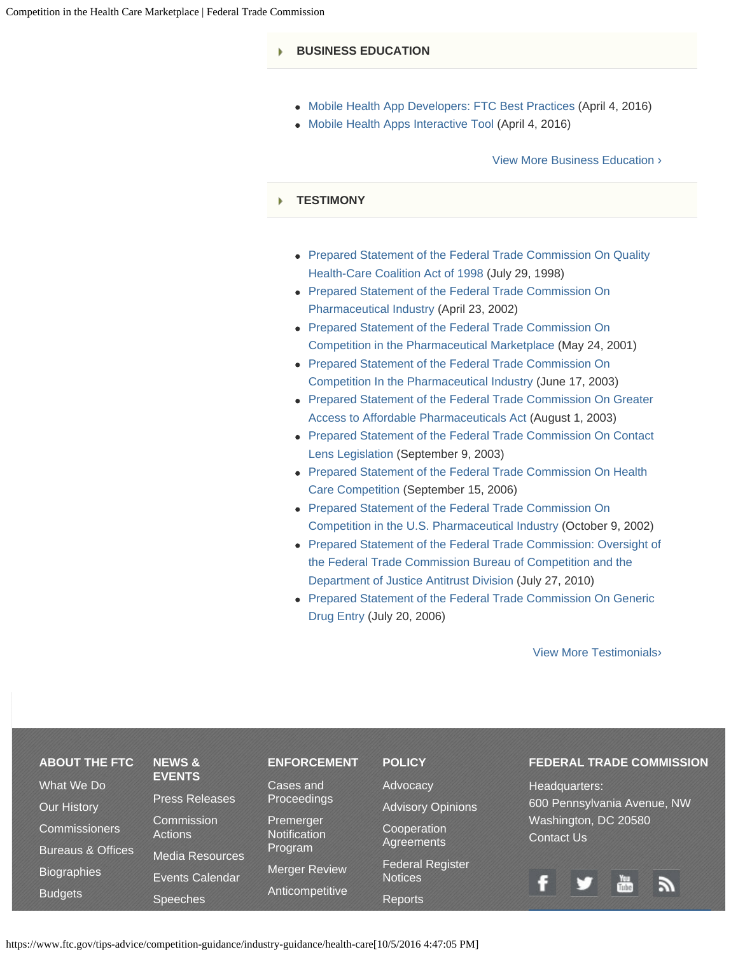#### **[BUSINESS EDUCATION](#page-0-0)**

- [Mobile Health App Developers: FTC Best Practices](https://www.ftc.gov/tips-advice/business-center/guidance/mobile-health-app-developers-ftc-best-practices) (April 4, 2016)
- [Mobile Health Apps Interactive Tool](https://www.ftc.gov/tips-advice/business-center/guidance/mobile-health-apps-interactive-tool) (April 4, 2016)

#### [View More Business Education](https://www.ftc.gov/tips-advice/business-center/guidance?field_consumer_protection_topics_tid=249&field_industry_tid=All) ›

#### **[TESTIMONY](#page-0-0)** Þ

- [Prepared Statement of the Federal Trade Commission On Quality](https://www.ftc.gov/public-statements/1998/07/prepared-statement-federal-trade-commission-quality-health-care-coalition) [Health-Care Coalition Act of 1998](https://www.ftc.gov/public-statements/1998/07/prepared-statement-federal-trade-commission-quality-health-care-coalition) (July 29, 1998)
- [Prepared Statement of the Federal Trade Commission On](https://www.ftc.gov/public-statements/2002/04/prepared-statement-federal-trade-commission-pharmaceutical-industry) [Pharmaceutical Industry](https://www.ftc.gov/public-statements/2002/04/prepared-statement-federal-trade-commission-pharmaceutical-industry) (April 23, 2002)
- [Prepared Statement of the Federal Trade Commission On](https://www.ftc.gov/public-statements/2001/05/prepared-statement-federal-trade-commission-competition-pharmaceutical) [Competition in the Pharmaceutical Marketplace](https://www.ftc.gov/public-statements/2001/05/prepared-statement-federal-trade-commission-competition-pharmaceutical) (May 24, 2001)
- [Prepared Statement of the Federal Trade Commission On](https://www.ftc.gov/public-statements/2003/06/prepared-statement-federal-trade-commission-competition-pharmaceutical) [Competition In the Pharmaceutical Industry](https://www.ftc.gov/public-statements/2003/06/prepared-statement-federal-trade-commission-competition-pharmaceutical) (June 17, 2003)
- [Prepared Statement of the Federal Trade Commission On Greater](https://www.ftc.gov/public-statements/2003/08/prepared-statement-federal-trade-commission-greater-access-affordable) [Access to Affordable Pharmaceuticals Act](https://www.ftc.gov/public-statements/2003/08/prepared-statement-federal-trade-commission-greater-access-affordable) (August 1, 2003)
- [Prepared Statement of the Federal Trade Commission On Contact](https://www.ftc.gov/public-statements/2003/09/prepared-statement-federal-trade-commission-contact-lens-legislation) [Lens Legislation](https://www.ftc.gov/public-statements/2003/09/prepared-statement-federal-trade-commission-contact-lens-legislation) (September 9, 2003)
- [Prepared Statement of the Federal Trade Commission On Health](https://www.ftc.gov/public-statements/2006/09/prepared-statement-federal-trade-commission-health-care-competition-0) [Care Competition](https://www.ftc.gov/public-statements/2006/09/prepared-statement-federal-trade-commission-health-care-competition-0) (September 15, 2006)
- [Prepared Statement of the Federal Trade Commission On](https://www.ftc.gov/public-statements/2002/10/prepared-statement-federal-trade-commission-competition-us-pharmaceutical) [Competition in the U.S. Pharmaceutical Industry](https://www.ftc.gov/public-statements/2002/10/prepared-statement-federal-trade-commission-competition-us-pharmaceutical) (October 9, 2002)
- [Prepared Statement of the Federal Trade Commission: Oversight of](https://www.ftc.gov/public-statements/2010/07/prepared-statement-federal-trade-commission-oversight-federal-trade) [the Federal Trade Commission Bureau of Competition and the](https://www.ftc.gov/public-statements/2010/07/prepared-statement-federal-trade-commission-oversight-federal-trade) [Department of Justice Antitrust Division](https://www.ftc.gov/public-statements/2010/07/prepared-statement-federal-trade-commission-oversight-federal-trade) (July 27, 2010)
- [Prepared Statement of the Federal Trade Commission On Generic](https://www.ftc.gov/public-statements/2006/07/prepared-statement-federal-trade-commission-generic-drug-entry) [Drug Entry](https://www.ftc.gov/public-statements/2006/07/prepared-statement-federal-trade-commission-generic-drug-entry) (July 20, 2006)

[View More Testimonials](https://www.ftc.gov/policy/testimony/terms/282)›

| <b>ABOUT THE FTC</b>         | <b>NEWS &amp;</b>            | <b>ENFORCEMENT</b>               | <b>POLICY</b>                             | <b>FEDERAL TRADE COMMISSION</b>           |
|------------------------------|------------------------------|----------------------------------|-------------------------------------------|-------------------------------------------|
| What We Do                   | <b>EVENTS</b>                | Cases and                        | Advocacy                                  | Headquarters:                             |
| <b>Our History</b>           | <b>Press Releases</b>        | Proceedings                      | <b>Advisory Opinions</b>                  | 600 Pennsylvania Avenue, NW               |
| <b>Commissioners</b>         | Commission<br><b>Actions</b> | Premerger<br><b>Notification</b> | Cooperation                               | Washington, DC 20580<br><b>Contact Us</b> |
| <b>Bureaus &amp; Offices</b> | <b>Media Resources</b>       | Program                          | <b>Agreements</b>                         |                                           |
| <b>Biographies</b>           | Events Calendar              | <b>Merger Review</b>             | <b>Federal Register</b><br><b>Notices</b> |                                           |
| <b>Budgets</b>               | <b>Speeches</b>              | Anticompetitive                  | <b>Reports</b>                            | Tube<br>Tube                              |
|                              |                              |                                  |                                           |                                           |